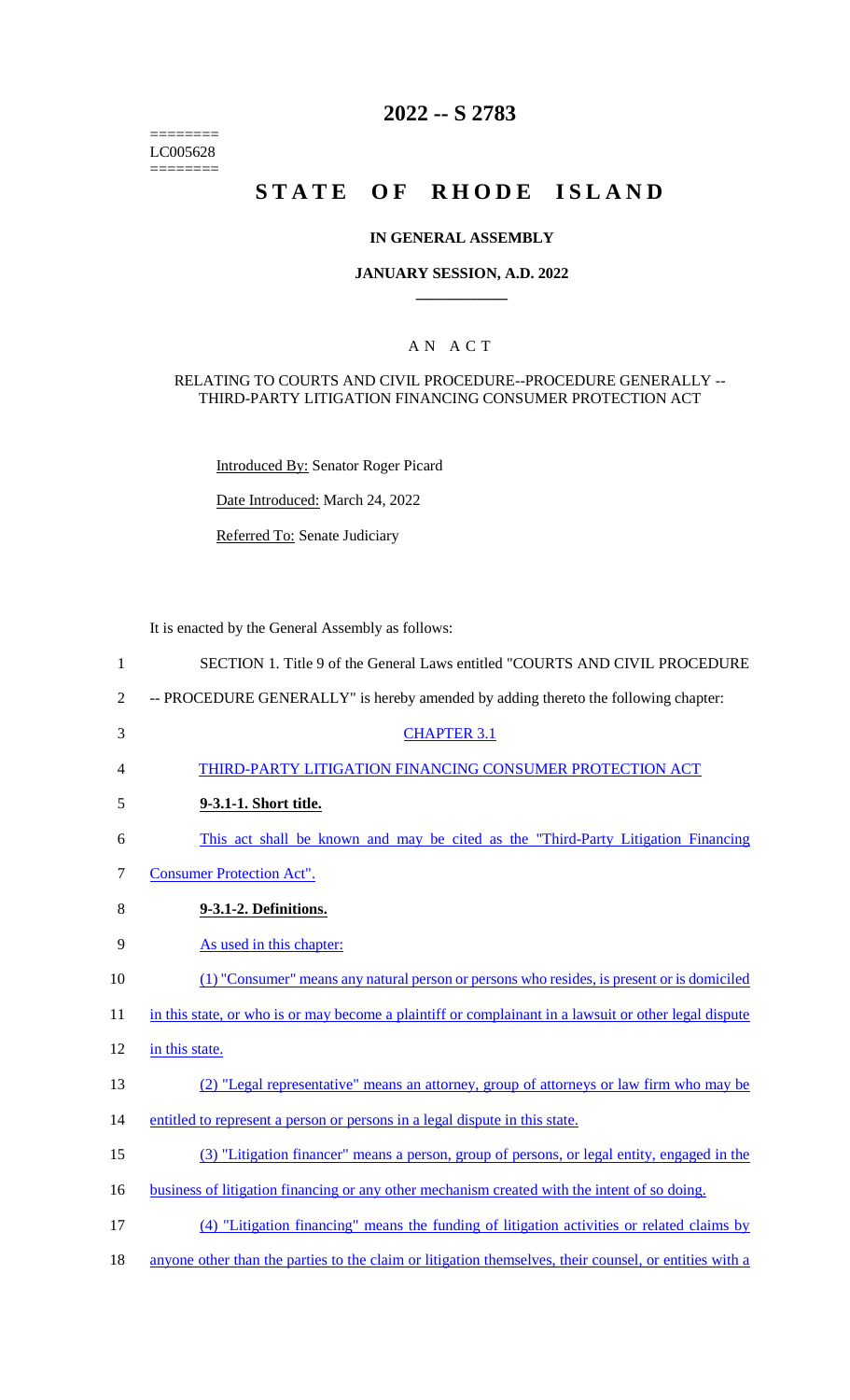======== LC005628  $=$ 

# **2022 -- S 2783**

# **STATE OF RHODE ISLAND**

# **IN GENERAL ASSEMBLY**

## **JANUARY SESSION, A.D. 2022 \_\_\_\_\_\_\_\_\_\_\_\_**

# A N A C T

#### RELATING TO COURTS AND CIVIL PROCEDURE--PROCEDURE GENERALLY -- THIRD-PARTY LITIGATION FINANCING CONSUMER PROTECTION ACT

Introduced By: Senator Roger Picard

Date Introduced: March 24, 2022

Referred To: Senate Judiciary

It is enacted by the General Assembly as follows:

| $\mathbf{1}$   | SECTION 1. Title 9 of the General Laws entitled "COURTS AND CIVIL PROCEDURE                            |
|----------------|--------------------------------------------------------------------------------------------------------|
| $\overline{2}$ | -- PROCEDURE GENERALLY" is hereby amended by adding thereto the following chapter:                     |
| 3              | <b>CHAPTER 3.1</b>                                                                                     |
| 4              | THIRD-PARTY LITIGATION FINANCING CONSUMER PROTECTION ACT                                               |
| 5              | 9-3.1-1. Short title.                                                                                  |
| 6              | This act shall be known and may be cited as the "Third-Party Litigation Financing"                     |
| $\tau$         | <b>Consumer Protection Act".</b>                                                                       |
| 8              | 9-3.1-2. Definitions.                                                                                  |
| 9              | As used in this chapter:                                                                               |
| 10             | (1) "Consumer" means any natural person or persons who resides, is present or is domiciled             |
| 11             | in this state, or who is or may become a plaintiff or complainant in a lawsuit or other legal dispute  |
| 12             | in this state.                                                                                         |
| 13             | (2) "Legal representative" means an attorney, group of attorneys or law firm who may be                |
| 14             | entitled to represent a person or persons in a legal dispute in this state.                            |
| 15             | (3) "Litigation financer" means a person, group of persons, or legal entity, engaged in the            |
| 16             | business of litigation financing or any other mechanism created with the intent of so doing.           |
| 17             | (4) "Litigation financing" means the funding of litigation activities or related claims by             |
| 18             | anyone other than the parties to the claim or litigation themselves, their counsel, or entities with a |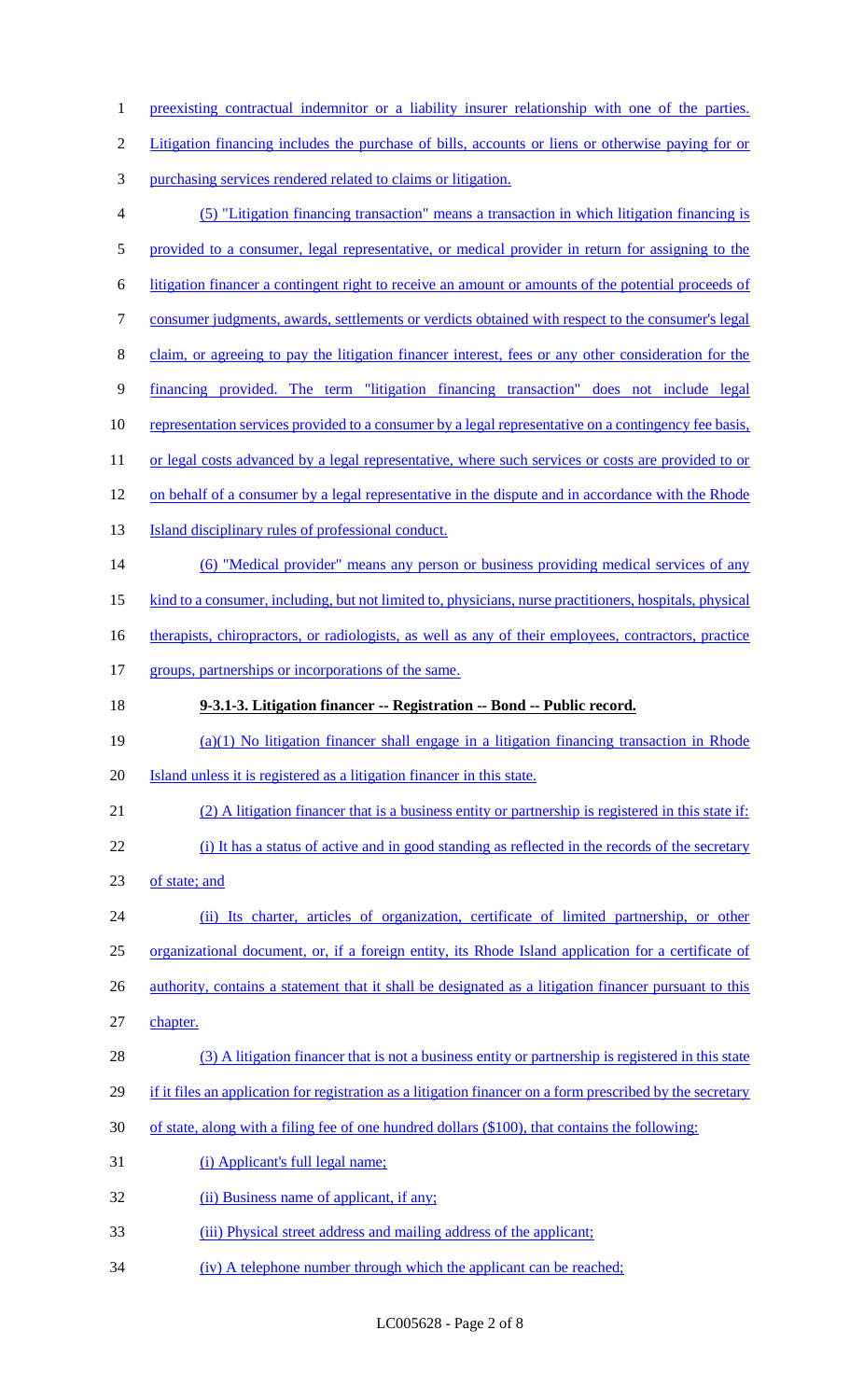1 preexisting contractual indemnitor or a liability insurer relationship with one of the parties. Litigation financing includes the purchase of bills, accounts or liens or otherwise paying for or purchasing services rendered related to claims or litigation. (5) "Litigation financing transaction" means a transaction in which litigation financing is provided to a consumer, legal representative, or medical provider in return for assigning to the litigation financer a contingent right to receive an amount or amounts of the potential proceeds of consumer judgments, awards, settlements or verdicts obtained with respect to the consumer's legal claim, or agreeing to pay the litigation financer interest, fees or any other consideration for the financing provided. The term "litigation financing transaction" does not include legal 10 representation services provided to a consumer by a legal representative on a contingency fee basis, 11 or legal costs advanced by a legal representative, where such services or costs are provided to or 12 on behalf of a consumer by a legal representative in the dispute and in accordance with the Rhode **Island disciplinary rules of professional conduct.**  (6) "Medical provider" means any person or business providing medical services of any 15 kind to a consumer, including, but not limited to, physicians, nurse practitioners, hospitals, physical 16 therapists, chiropractors, or radiologists, as well as any of their employees, contractors, practice 17 groups, partnerships or incorporations of the same. **9-3.1-3. Litigation financer -- Registration -- Bond -- Public record.**  (a)(1) No litigation financer shall engage in a litigation financing transaction in Rhode Island unless it is registered as a litigation financer in this state. (2) A litigation financer that is a business entity or partnership is registered in this state if: (i) It has a status of active and in good standing as reflected in the records of the secretary 23 of state; and (ii) Its charter, articles of organization, certificate of limited partnership, or other organizational document, or, if a foreign entity, its Rhode Island application for a certificate of 26 authority, contains a statement that it shall be designated as a litigation financer pursuant to this chapter. (3) A litigation financer that is not a business entity or partnership is registered in this state 29 if it files an application for registration as a litigation financer on a form prescribed by the secretary of state, along with a filing fee of one hundred dollars (\$100), that contains the following: (i) Applicant's full legal name; 32 (ii) Business name of applicant, if any; (iii) Physical street address and mailing address of the applicant; 34 (iv) A telephone number through which the applicant can be reached;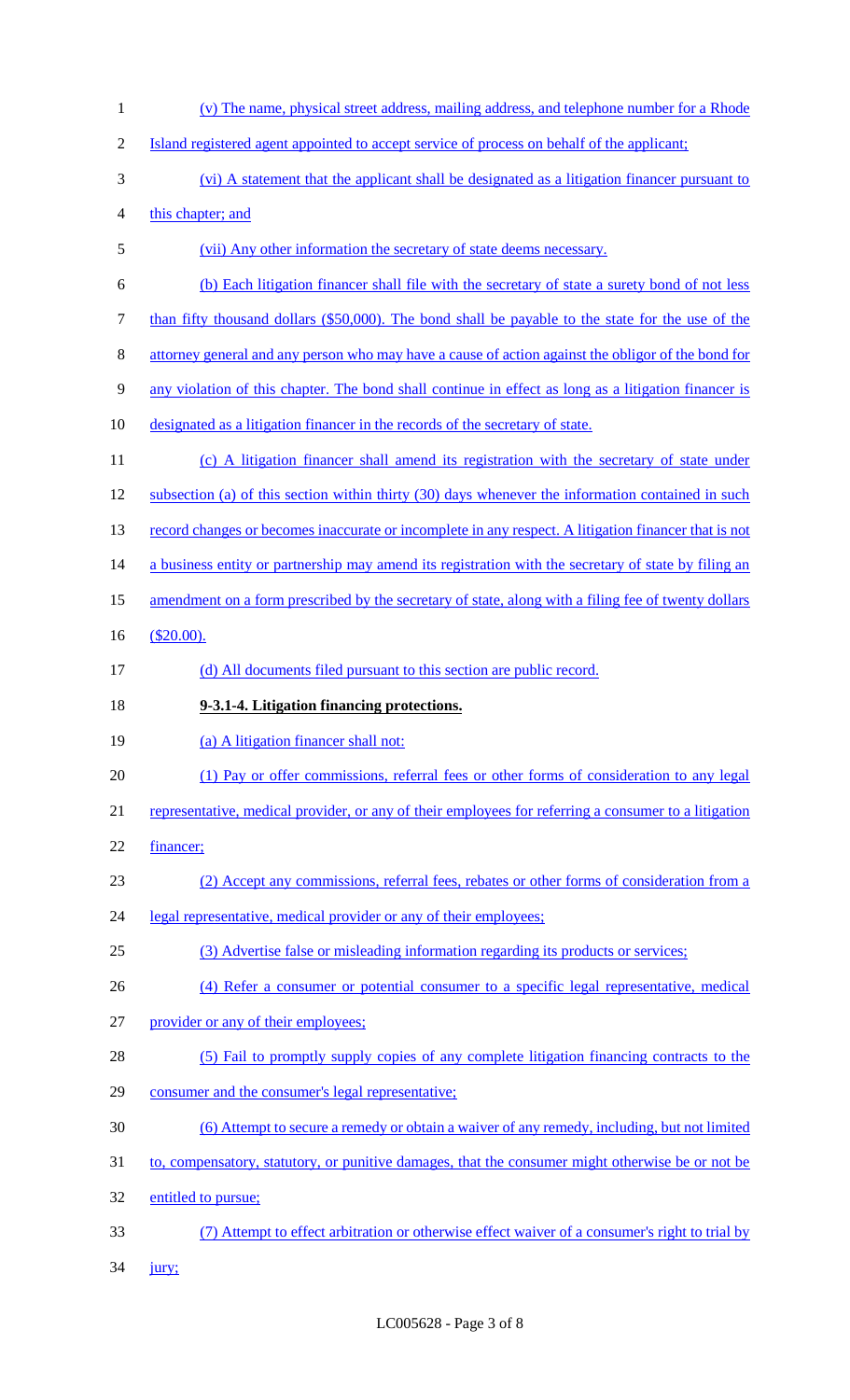(v) The name, physical street address, mailing address, and telephone number for a Rhode Island registered agent appointed to accept service of process on behalf of the applicant; (vi) A statement that the applicant shall be designated as a litigation financer pursuant to this chapter; and (vii) Any other information the secretary of state deems necessary. (b) Each litigation financer shall file with the secretary of state a surety bond of not less 7 than fifty thousand dollars (\$50,000). The bond shall be payable to the state for the use of the attorney general and any person who may have a cause of action against the obligor of the bond for any violation of this chapter. The bond shall continue in effect as long as a litigation financer is designated as a litigation financer in the records of the secretary of state. 11 (c) A litigation financer shall amend its registration with the secretary of state under 12 subsection (a) of this section within thirty (30) days whenever the information contained in such 13 record changes or becomes inaccurate or incomplete in any respect. A litigation financer that is not a business entity or partnership may amend its registration with the secretary of state by filing an 15 amendment on a form prescribed by the secretary of state, along with a filing fee of twenty dollars (\$20.00). 17 (d) All documents filed pursuant to this section are public record. **9-3.1-4. Litigation financing protections.**  19 (a) A litigation financer shall not: (1) Pay or offer commissions, referral fees or other forms of consideration to any legal 21 representative, medical provider, or any of their employees for referring a consumer to a litigation financer; (2) Accept any commissions, referral fees, rebates or other forms of consideration from a 24 legal representative, medical provider or any of their employees; (3) Advertise false or misleading information regarding its products or services; (4) Refer a consumer or potential consumer to a specific legal representative, medical provider or any of their employees; (5) Fail to promptly supply copies of any complete litigation financing contracts to the consumer and the consumer's legal representative; (6) Attempt to secure a remedy or obtain a waiver of any remedy, including, but not limited to, compensatory, statutory, or punitive damages, that the consumer might otherwise be or not be entitled to pursue; (7) Attempt to effect arbitration or otherwise effect waiver of a consumer's right to trial by

jury;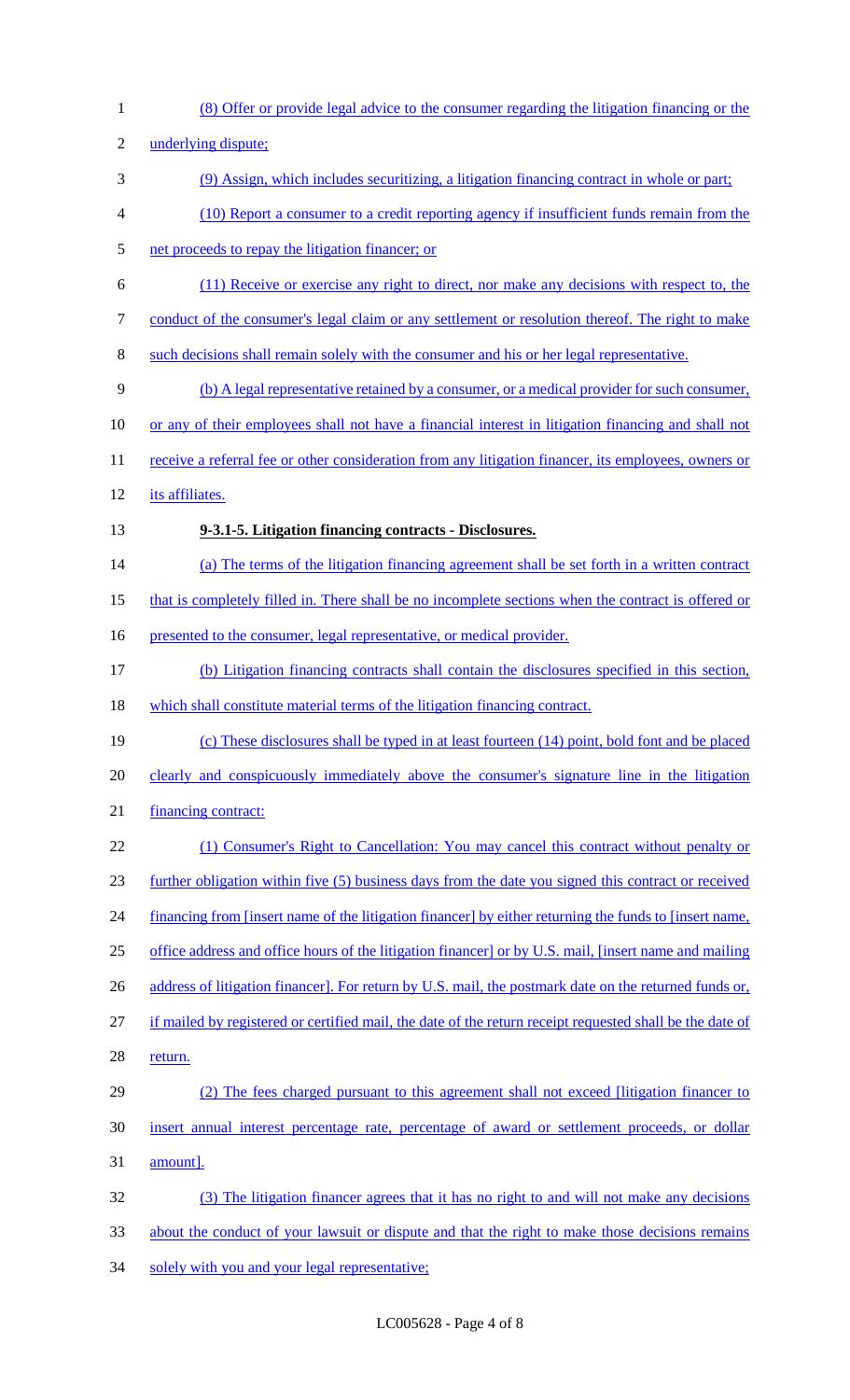(8) Offer or provide legal advice to the consumer regarding the litigation financing or the underlying dispute; (9) Assign, which includes securitizing, a litigation financing contract in whole or part; (10) Report a consumer to a credit reporting agency if insufficient funds remain from the net proceeds to repay the litigation financer; or (11) Receive or exercise any right to direct, nor make any decisions with respect to, the 7 conduct of the consumer's legal claim or any settlement or resolution thereof. The right to make such decisions shall remain solely with the consumer and his or her legal representative. (b) A legal representative retained by a consumer, or a medical provider for such consumer, or any of their employees shall not have a financial interest in litigation financing and shall not 11 receive a referral fee or other consideration from any litigation financer, its employees, owners or its affiliates. **9-3.1-5. Litigation financing contracts - Disclosures.**  (a) The terms of the litigation financing agreement shall be set forth in a written contract 15 that is completely filled in. There shall be no incomplete sections when the contract is offered or 16 presented to the consumer, legal representative, or medical provider. (b) Litigation financing contracts shall contain the disclosures specified in this section, which shall constitute material terms of the litigation financing contract. (c) These disclosures shall be typed in at least fourteen (14) point, bold font and be placed 20 clearly and conspicuously immediately above the consumer's signature line in the litigation financing contract: (1) Consumer's Right to Cancellation: You may cancel this contract without penalty or further obligation within five (5) business days from the date you signed this contract or received 24 financing from [insert name of the litigation financer] by either returning the funds to [insert name, office address and office hours of the litigation financer] or by U.S. mail, [insert name and mailing 26 address of litigation financer]. For return by U.S. mail, the postmark date on the returned funds or, if mailed by registered or certified mail, the date of the return receipt requested shall be the date of 28 return. (2) The fees charged pursuant to this agreement shall not exceed [litigation financer to insert annual interest percentage rate, percentage of award or settlement proceeds, or dollar amount]. (3) The litigation financer agrees that it has no right to and will not make any decisions about the conduct of your lawsuit or dispute and that the right to make those decisions remains 34 solely with you and your legal representative;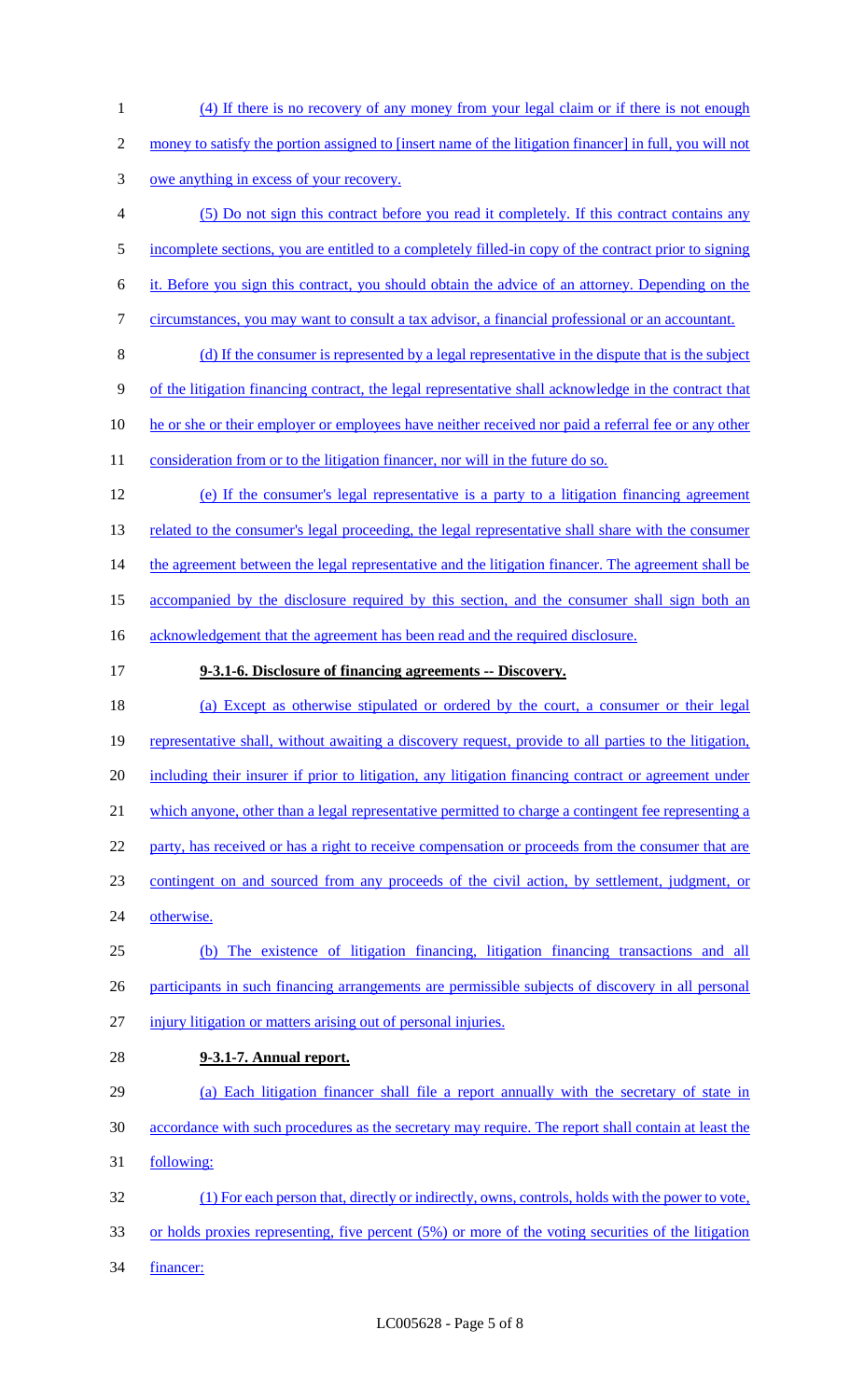(4) If there is no recovery of any money from your legal claim or if there is not enough

- 2 money to satisfy the portion assigned to [insert name of the litigation financer] in full, you will not
- owe anything in excess of your recovery.
- (5) Do not sign this contract before you read it completely. If this contract contains any
- incomplete sections, you are entitled to a completely filled-in copy of the contract prior to signing
- it. Before you sign this contract, you should obtain the advice of an attorney. Depending on the
- circumstances, you may want to consult a tax advisor, a financial professional or an accountant.
- (d) If the consumer is represented by a legal representative in the dispute that is the subject
- of the litigation financing contract, the legal representative shall acknowledge in the contract that
- 10 he or she or their employer or employees have neither received nor paid a referral fee or any other
- 11 consideration from or to the litigation financer, nor will in the future do so.
- (e) If the consumer's legal representative is a party to a litigation financing agreement 13 related to the consumer's legal proceeding, the legal representative shall share with the consumer the agreement between the legal representative and the litigation financer. The agreement shall be 15 accompanied by the disclosure required by this section, and the consumer shall sign both an 16 acknowledgement that the agreement has been read and the required disclosure.
- **9-3.1-6. Disclosure of financing agreements -- Discovery.**
- (a) Except as otherwise stipulated or ordered by the court, a consumer or their legal 19 representative shall, without awaiting a discovery request, provide to all parties to the litigation, including their insurer if prior to litigation, any litigation financing contract or agreement under 21 which anyone, other than a legal representative permitted to charge a contingent fee representing a 22 party, has received or has a right to receive compensation or proceeds from the consumer that are contingent on and sourced from any proceeds of the civil action, by settlement, judgment, or otherwise. (b) The existence of litigation financing, litigation financing transactions and all 26 participants in such financing arrangements are permissible subjects of discovery in all personal injury litigation or matters arising out of personal injuries.
- **9-3.1-7. Annual report.**
- (a) Each litigation financer shall file a report annually with the secretary of state in accordance with such procedures as the secretary may require. The report shall contain at least the following: (1) For each person that, directly or indirectly, owns, controls, holds with the power to vote,
- or holds proxies representing, five percent (5%) or more of the voting securities of the litigation financer: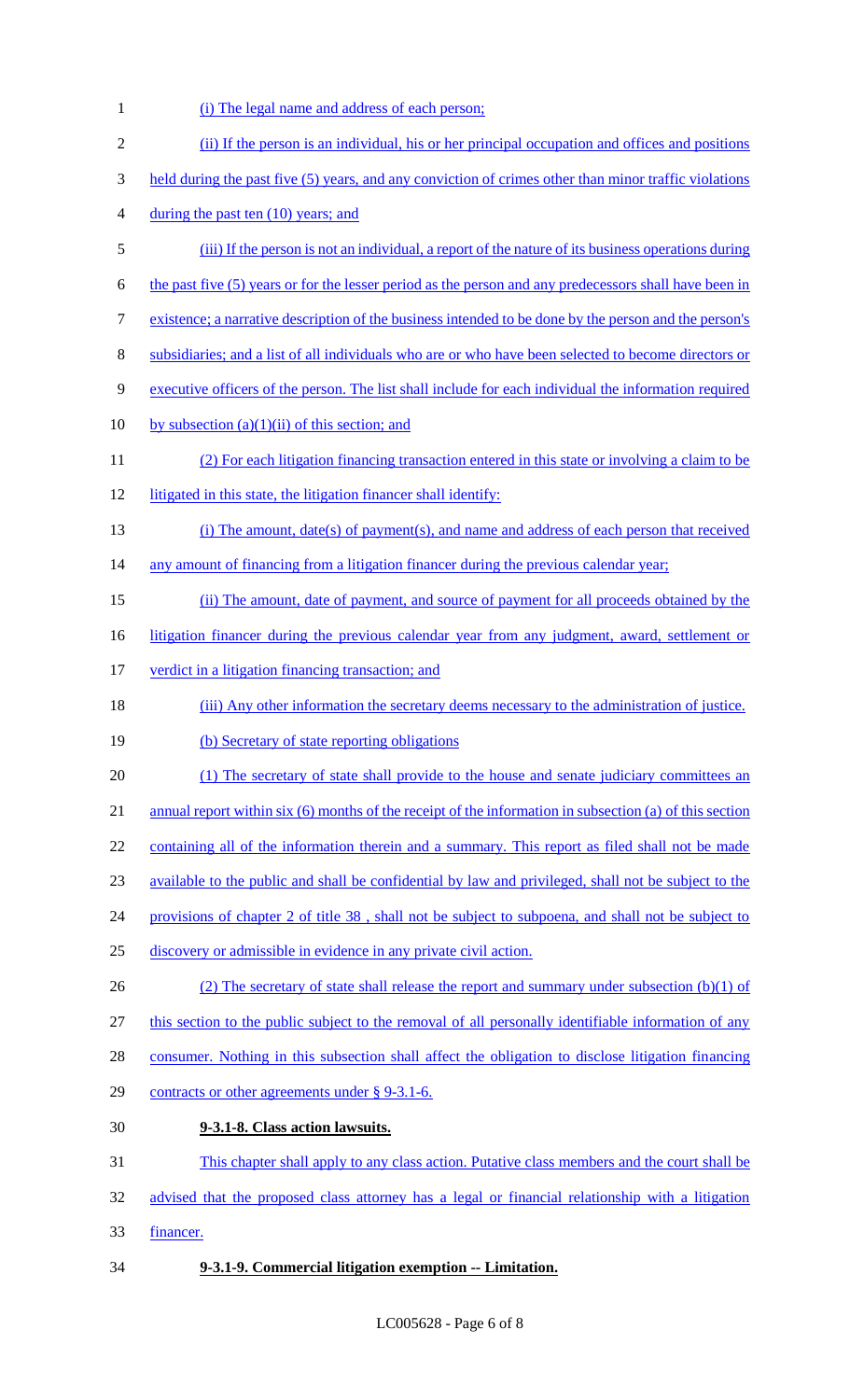1 (i) The legal name and address of each person; (ii) If the person is an individual, his or her principal occupation and offices and positions 3 held during the past five (5) years, and any conviction of crimes other than minor traffic violations 4 during the past ten (10) years; and (iii) If the person is not an individual, a report of the nature of its business operations during the past five (5) years or for the lesser period as the person and any predecessors shall have been in existence; a narrative description of the business intended to be done by the person and the person's subsidiaries; and a list of all individuals who are or who have been selected to become directors or executive officers of the person. The list shall include for each individual the information required 10 by subsection  $(a)(1)(ii)$  of this section; and (2) For each litigation financing transaction entered in this state or involving a claim to be 12 litigated in this state, the litigation financer shall identify: (i) The amount, date(s) of payment(s), and name and address of each person that received any amount of financing from a litigation financer during the previous calendar year; (ii) The amount, date of payment, and source of payment for all proceeds obtained by the 16 litigation financer during the previous calendar year from any judgment, award, settlement or 17 verdict in a litigation financing transaction; and (iii) Any other information the secretary deems necessary to the administration of justice. 19 (b) Secretary of state reporting obligations 20 (1) The secretary of state shall provide to the house and senate judiciary committees an 21 annual report within six (6) months of the receipt of the information in subsection (a) of this section containing all of the information therein and a summary. This report as filed shall not be made available to the public and shall be confidential by law and privileged, shall not be subject to the provisions of chapter 2 of title 38 , shall not be subject to subpoena, and shall not be subject to discovery or admissible in evidence in any private civil action. 26 (2) The secretary of state shall release the report and summary under subsection (b)(1) of this section to the public subject to the removal of all personally identifiable information of any consumer. Nothing in this subsection shall affect the obligation to disclose litigation financing contracts or other agreements under § 9-3.1-6. **9-3.1-8. Class action lawsuits.**  This chapter shall apply to any class action. Putative class members and the court shall be advised that the proposed class attorney has a legal or financial relationship with a litigation financer. **9-3.1-9. Commercial litigation exemption -- Limitation.**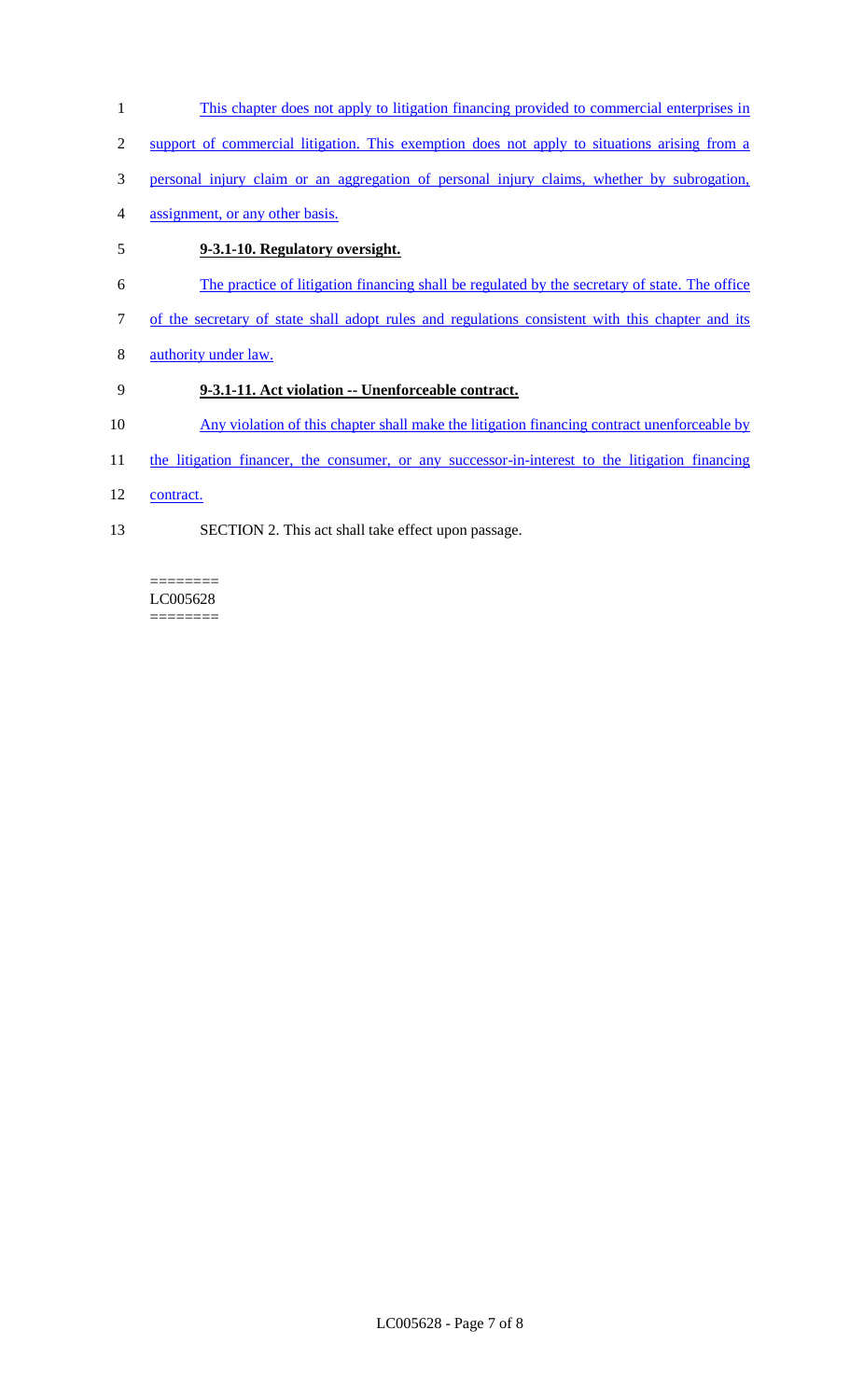- 1 This chapter does not apply to litigation financing provided to commercial enterprises in
- 2 support of commercial litigation. This exemption does not apply to situations arising from a
- 3 personal injury claim or an aggregation of personal injury claims, whether by subrogation,
- 4 assignment, or any other basis.

# 5 **9-3.1-10. Regulatory oversight.**

- 6 The practice of litigation financing shall be regulated by the secretary of state. The office
- 7 of the secretary of state shall adopt rules and regulations consistent with this chapter and its
- 8 authority under law.

# 9 **9-3.1-11. Act violation -- Unenforceable contract.**

- 10 Any violation of this chapter shall make the litigation financing contract unenforceable by
- 11 the litigation financer, the consumer, or any successor-in-interest to the litigation financing
- 12 contract.
- 13 SECTION 2. This act shall take effect upon passage.

### ======== LC005628

========